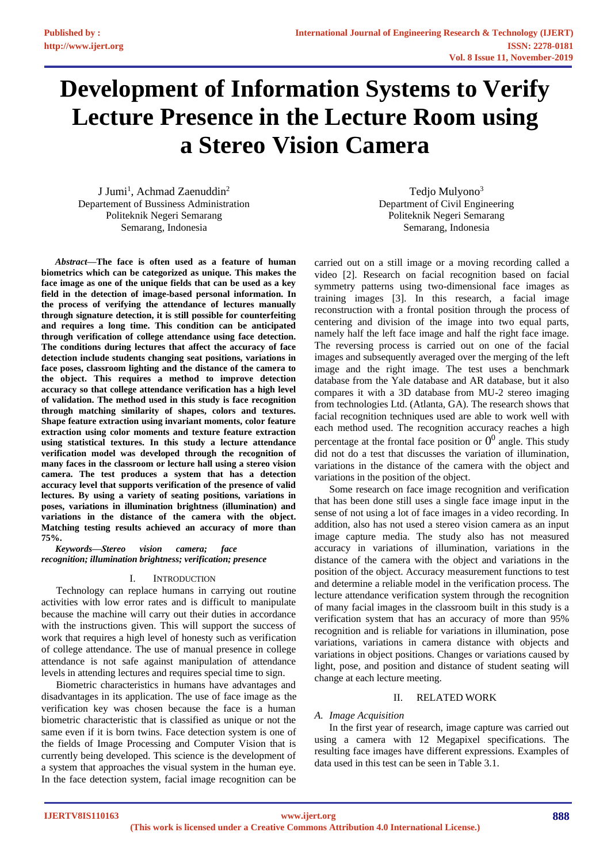# **Development of Information Systems to Verify Lecture Presence in the Lecture Room using a Stereo Vision Camera**

J Jumi<sup>1</sup>, Achmad Zaenuddin<sup>2</sup> Departement of Bussiness Administration Politeknik Negeri Semarang Semarang, Indonesia

*Abstract***—The face is often used as a feature of human biometrics which can be categorized as unique. This makes the face image as one of the unique fields that can be used as a key field in the detection of image-based personal information. In the process of verifying the attendance of lectures manually through signature detection, it is still possible for counterfeiting and requires a long time. This condition can be anticipated through verification of college attendance using face detection. The conditions during lectures that affect the accuracy of face detection include students changing seat positions, variations in face poses, classroom lighting and the distance of the camera to the object. This requires a method to improve detection accuracy so that college attendance verification has a high level of validation. The method used in this study is face recognition through matching similarity of shapes, colors and textures. Shape feature extraction using invariant moments, color feature extraction using color moments and texture feature extraction using statistical textures. In this study a lecture attendance verification model was developed through the recognition of many faces in the classroom or lecture hall using a stereo vision camera. The test produces a system that has a detection accuracy level that supports verification of the presence of valid lectures. By using a variety of seating positions, variations in poses, variations in illumination brightness (illumination) and variations in the distance of the camera with the object. Matching testing results achieved an accuracy of more than 75%.** 

*Keywords—Stereo vision camera; face recognition; illumination brightness; verification; presence* 

## I. INTRODUCTION

Technology can replace humans in carrying out routine activities with low error rates and is difficult to manipulate because the machine will carry out their duties in accordance with the instructions given. This will support the success of work that requires a high level of honesty such as verification of college attendance. The use of manual presence in college attendance is not safe against manipulation of attendance levels in attending lectures and requires special time to sign.

Biometric characteristics in humans have advantages and disadvantages in its application. The use of face image as the verification key was chosen because the face is a human biometric characteristic that is classified as unique or not the same even if it is born twins. Face detection system is one of the fields of Image Processing and Computer Vision that is currently being developed. This science is the development of a system that approaches the visual system in the human eye. In the face detection system, facial image recognition can be

Tedjo Mulyono<sup>3</sup> Department of Civil Engineering Politeknik Negeri Semarang Semarang, Indonesia

carried out on a still image or a moving recording called a video [2]. Research on facial recognition based on facial symmetry patterns using two-dimensional face images as training images [3]. In this research, a facial image reconstruction with a frontal position through the process of centering and division of the image into two equal parts, namely half the left face image and half the right face image. The reversing process is carried out on one of the facial images and subsequently averaged over the merging of the left image and the right image. The test uses a benchmark database from the Yale database and AR database, but it also compares it with a 3D database from MU-2 stereo imaging from technologies Ltd. (Atlanta, GA). The research shows that facial recognition techniques used are able to work well with each method used. The recognition accuracy reaches a high percentage at the frontal face position or  $0^0$  angle. This study did not do a test that discusses the variation of illumination, variations in the distance of the camera with the object and variations in the position of the object.

Some research on face image recognition and verification that has been done still uses a single face image input in the sense of not using a lot of face images in a video recording. In addition, also has not used a stereo vision camera as an input image capture media. The study also has not measured accuracy in variations of illumination, variations in the distance of the camera with the object and variations in the position of the object. Accuracy measurement functions to test and determine a reliable model in the verification process. The lecture attendance verification system through the recognition of many facial images in the classroom built in this study is a verification system that has an accuracy of more than 95% recognition and is reliable for variations in illumination, pose variations, variations in camera distance with objects and variations in object positions. Changes or variations caused by light, pose, and position and distance of student seating will change at each lecture meeting.

## II. RELATED WORK

## *A. Image Acquisition*

In the first year of research, image capture was carried out using a camera with 12 Megapixel specifications. The resulting face images have different expressions. Examples of data used in this test can be seen in Table 3.1.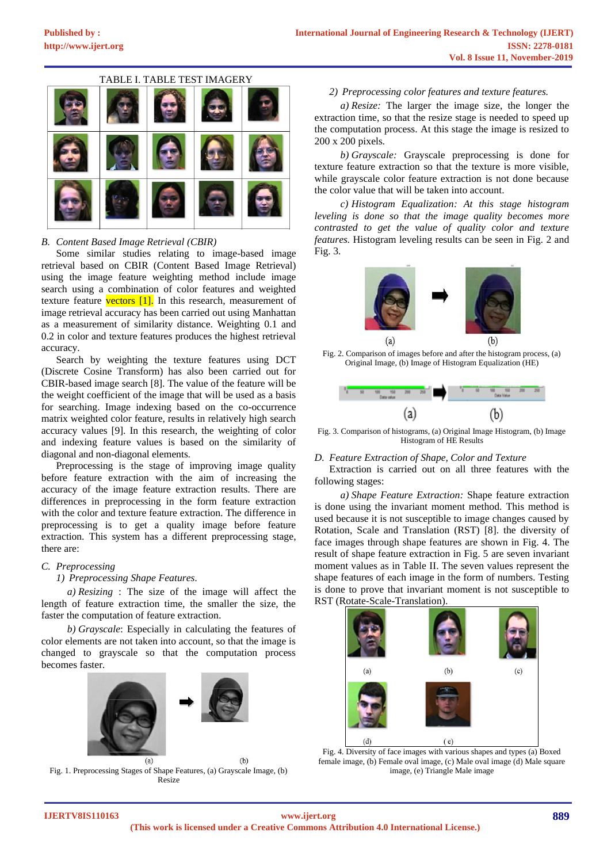



# *B. Content Based Image Retrieval (CBIR)*

Some similar studies relating to image-based image retrieval based on CBIR (Content Based Image Retrieval) using the image feature weighting method include image search using a combination of color features and weighted texture feature vectors  $[1]$ . In this research, measurement of image retrieval accuracy has been carried out using Manhattan as a measurement of similarity distance. Weighting 0.1 and 0.2 in color and texture features produces the highest retrieval accuracy.

Search by weighting the texture features using DCT (Discrete Cosine Transform) has also been carried out for CBIR-based image search [8]. The value of the feature will be the weight coefficient of the image that will be used as a basis for searching. Image indexing based on the co-occurrence matrix weighted color feature, results in relatively high search accuracy values [9]. In this research, the weighting of color and indexing feature values is based on the similarity of diagonal and non-diagonal elements.

Preprocessing is the stage of improving image quality before feature extraction with the aim of increasing the accuracy of the image feature extraction results. There are differences in preprocessing in the form feature extraction with the color and texture feature extraction. The difference in preprocessing is to get a quality image before feature extraction. This system has a different preprocessing stage, there are:

## *C. Preprocessing*

#### *1) Preprocessing Shape Features.*

*a) Resizing* : The size of the image will affect the length of feature extraction time, the smaller the size, the faster the computation of feature extraction*.*

*b) Grayscale*: Especially in calculating the features of color elements are not taken into account, so that the image is changed to grayscale so that the computation process becomes faster*.*



Fig. 1. Preprocessing Stages of Shape Features, (a) Grayscale Image, (b) Resize

#### *2) Preprocessing color features and texture features.*

*a) Resize:* The larger the image size, the longer the extraction time, so that the resize stage is needed to speed up the computation process. At this stage the image is resized to 200 x 200 pixels*.*

*b) Grayscale:* Grayscale preprocessing is done for texture feature extraction so that the texture is more visible, while grayscale color feature extraction is not done because the color value that will be taken into account.

*c) Histogram Equalization: At this stage histogram leveling is done so that the image quality becomes more contrasted to get the value of quality color and texture features.* Histogram leveling results can be seen in Fig. 2 and Fig. 3*.*



Fig. 2. Comparison of images before and after the histogram process, (a) Original Image, (b) Image of Histogram Equalization (HE)



Fig. 3. Comparison of histograms, (a) Original Image Histogram, (b) Image Histogram of HE Results

#### *D. Feature Extraction of Shape, Color and Texture*

Extraction is carried out on all three features with the following stages:

*a) Shape Feature Extraction:* Shape feature extraction is done using the invariant moment method. This method is used because it is not susceptible to image changes caused by Rotation, Scale and Translation (RST) [8]. the diversity of face images through shape features are shown in Fig. 4. The result of shape feature extraction in Fig. 5 are seven invariant moment values as in Table II. The seven values represent the shape features of each image in the form of numbers. Testing is done to prove that invariant moment is not susceptible to RST (Rotate-Scale-Translation).



Fig. 4. Diversity of face images with various shapes and types (a) Boxed female image, (b) Female oval image, (c) Male oval image (d) Male square image, (e) Triangle Male image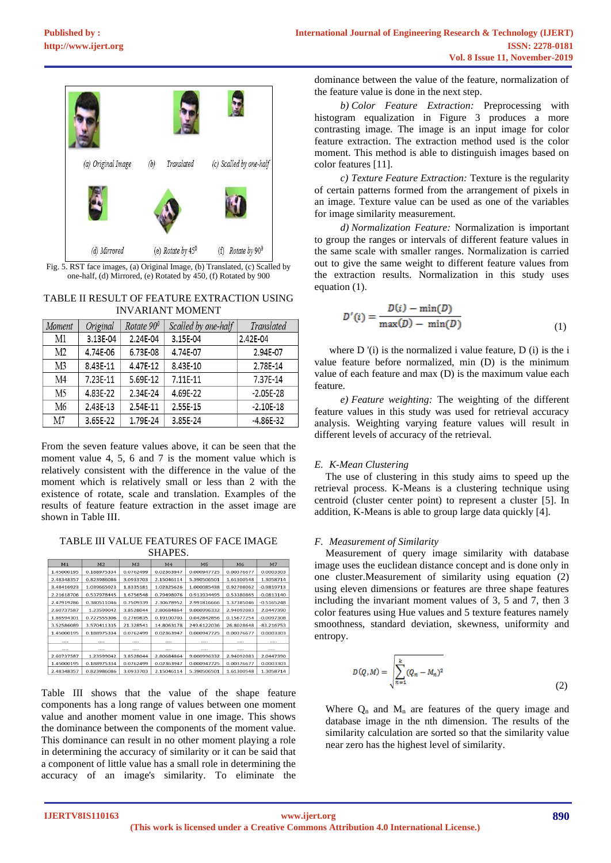

Fig. 5. RST face images, (a) Original Image, (b) Translated, (c) Scalled by one-half, (d) Mirrored, (e) Rotated by 450, (f) Rotated by 900

## TABLE II RESULT OF FEATURE EXTRACTION USING INVARIANT MOMENT

| Moment         | Original | Rotate $90^{\circ}$ | Scalled by one-half | Translated    |
|----------------|----------|---------------------|---------------------|---------------|
| M1             | 3.13E-04 | 2.24E-04            | 3.15E-04            | 2.42E-04      |
| M <sub>2</sub> | 4.74E-06 | 6.73E-08            | 4.74E-07            | 2.94E-07      |
| M <sub>3</sub> | 8.43E-11 | 4.47E-12            | 8.43E-10            | 2.78E-14      |
| M4             | 7.23E-11 | 5.69E-12            | 7.11E-11            | 7.37E-14      |
| M5             | 4.83E-22 | 2.34E-24            | 4.69E-22            | $-2.05E-28$   |
| M6             | 2.43E-13 | 2.54E-11            | 2.55E-15            | $-2.10E-18$   |
| M7             | 3.65E-22 | 1.79E-24            | 3.85E-24            | $-4.86E - 32$ |

From the seven feature values above, it can be seen that the moment value 4, 5, 6 and 7 is the moment value which is relatively consistent with the difference in the value of the moment which is relatively small or less than 2 with the existence of rotate, scale and translation. Examples of the results of feature feature extraction in the asset image are shown in Table III.

TABLE III VALUE FEATURES OF FACE IMAGE SHAPES.

| M1         | M <sub>2</sub> | M <sub>3</sub> | M <sub>4</sub> | M5          | M6         | M <sub>7</sub> |
|------------|----------------|----------------|----------------|-------------|------------|----------------|
| 1.45000195 | 0.188975334    | 0.0762499      | 0.02363947     | 0.000947725 | 0.00376677 | 0.0003303      |
| 2.48348357 | 0.823986086    | 3.0933703      | 2.15046114     | 5.390506501 | 1.61300548 | 1.3058714      |
| 3.48416923 | 1.039665923    | 1.8335181      | 1.02325626     | 1.000085438 | 0.92708062 | $-0.9819713$   |
| 2.21618706 | 0.537978445    | 1.6756548      | 0.79498076     | 0.913934495 | 0.53380865 | $-0.0813140$   |
| 2.47919286 | 0.380511046    | 0.7509339      | 2.30678952     | 2.991816666 | 1.37385046 | $-0.5165248$   |
| 2.60737587 | 1.23599042     | 3.8528044      | 2.80684864     | 9.000996332 | 2.94092083 | 2.0447390      |
| 1.86594301 | 0.727555306    | 0.2769835      | 0.19100703     | 0.042842856 | 0.15677254 | $-0.0097308$   |
| 3.52586089 | 3.570411335    | 21.328541      | 14.8063178     | 249.6122036 | 26.8028648 | $-83.216753$   |
| 1.45000195 | 0.188975334    | 0.0762499      | 0.02363947     | 0.000947725 | 0.00376677 | 0.0003303      |
|            |                |                |                |             |            |                |
|            |                |                |                |             |            |                |
| 2.60737587 | 1.23599042     | 3.8528044      | 2.80684864     | 9.000996332 | 2.94092083 | 2.0447390      |
| 1.45000195 | 0.188975334    | 0.0762499      | 0.02363947     | 0.000947725 | 0.00376677 | 0.0003303      |
| 2.48348357 | 0.823986086    | 3.0933703      | 2.15046114     | 5.390506501 | 1.61300548 | 1.3058714      |

Table III shows that the value of the shape feature components has a long range of values between one moment value and another moment value in one image. This shows the dominance between the components of the moment value. This dominance can result in no other moment playing a role in determining the accuracy of similarity or it can be said that a component of little value has a small role in determining the accuracy of an image's similarity. To eliminate the

dominance between the value of the feature, normalization of the feature value is done in the next step.

*b) Color Feature Extraction:* Preprocessing with histogram equalization in Figure 3 produces a more contrasting image. The image is an input image for color feature extraction. The extraction method used is the color moment. This method is able to distinguish images based on color features [11].

*c) Texture Feature Extraction:* Texture is the regularity of certain patterns formed from the arrangement of pixels in an image. Texture value can be used as one of the variables for image similarity measurement.

*d) Normalization Feature:* Normalization is important to group the ranges or intervals of different feature values in the same scale with smaller ranges. Normalization is carried out to give the same weight to different feature values from the extraction results. Normalization in this study uses equation (1).

$$
D'(i) = \frac{D(i) - \min(D)}{\max(D) - \min(D)}
$$
(1)

where D '(i) is the normalized i value feature, D (i) is the i value feature before normalized, min (D) is the minimum value of each feature and max (D) is the maximum value each feature.

*e) Feature weighting:* The weighting of the different feature values in this study was used for retrieval accuracy analysis. Weighting varying feature values will result in different levels of accuracy of the retrieval.

# *E. K-Mean Clustering*

The use of clustering in this study aims to speed up the retrieval process. K-Means is a clustering technique using centroid (cluster center point) to represent a cluster [5]. In addition, K-Means is able to group large data quickly [4].

## *F. Measurement of Similarity*

Measurement of query image similarity with database image uses the euclidean distance concept and is done only in one cluster.Measurement of similarity using equation (2) using eleven dimensions or features are three shape features including the invariant moment values of 3, 5 and 7, then 3 color features using Hue values and 5 texture features namely smoothness, standard deviation, skewness, uniformity and entropy.

$$
D(Q, M) = \sqrt{\sum_{n=1}^{k} (Q_n - M_n)^2}
$$
 (2)

Where  $Q_n$  and  $M_n$  are features of the query image and database image in the nth dimension. The results of the similarity calculation are sorted so that the similarity value near zero has the highest level of similarity.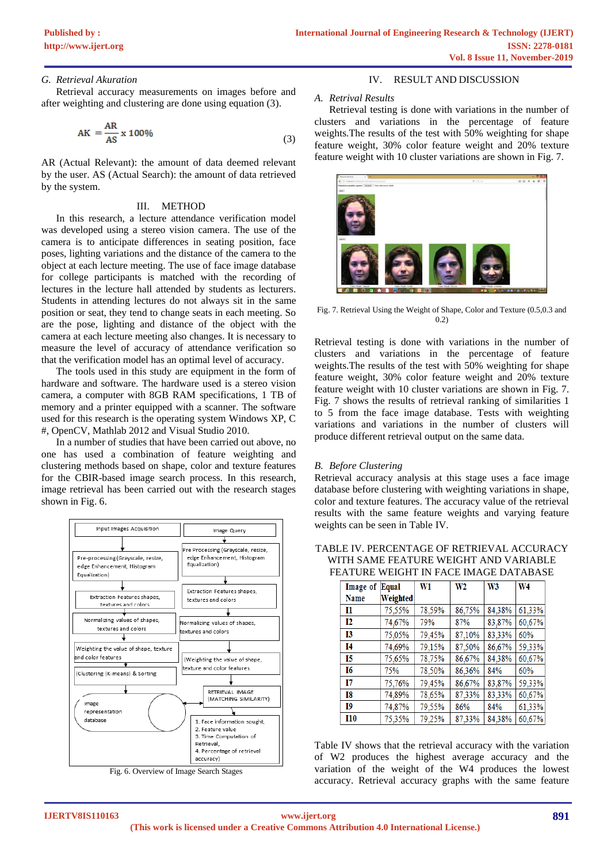#### *G. Retrieval Akuration*

Retrieval accuracy measurements on images before and after weighting and clustering are done using equation (3).

$$
AK = \frac{AR}{AS} \times 100\%
$$
 (3)

AR (Actual Relevant): the amount of data deemed relevant by the user. AS (Actual Search): the amount of data retrieved by the system.

#### III. METHOD

In this research, a lecture attendance verification model was developed using a stereo vision camera. The use of the camera is to anticipate differences in seating position, face poses, lighting variations and the distance of the camera to the object at each lecture meeting. The use of face image database for college participants is matched with the recording of lectures in the lecture hall attended by students as lecturers. Students in attending lectures do not always sit in the same position or seat, they tend to change seats in each meeting. So are the pose, lighting and distance of the object with the camera at each lecture meeting also changes. It is necessary to measure the level of accuracy of attendance verification so that the verification model has an optimal level of accuracy.

The tools used in this study are equipment in the form of hardware and software. The hardware used is a stereo vision camera, a computer with 8GB RAM specifications, 1 TB of memory and a printer equipped with a scanner. The software used for this research is the operating system Windows XP, C #, OpenCV, Mathlab 2012 and Visual Studio 2010.

In a number of studies that have been carried out above, no one has used a combination of feature weighting and clustering methods based on shape, color and texture features for the CBIR-based image search process. In this research, image retrieval has been carried out with the research stages shown in Fig. 6.



Fig. 6. Overview of Image Search Stages

## IV. RESULT AND DISCUSSION

#### *A. Retrival Results*

Retrieval testing is done with variations in the number of clusters and variations in the percentage of feature weights.The results of the test with 50% weighting for shape feature weight, 30% color feature weight and 20% texture feature weight with 10 cluster variations are shown in Fig. 7.



Fig. 7. Retrieval Using the Weight of Shape, Color and Texture (0.5,0.3 and 0.2)

Retrieval testing is done with variations in the number of clusters and variations in the percentage of feature weights.The results of the test with 50% weighting for shape feature weight, 30% color feature weight and 20% texture feature weight with 10 cluster variations are shown in Fig. 7. Fig. 7 shows the results of retrieval ranking of similarities 1 to 5 from the face image database. Tests with weighting variations and variations in the number of clusters will produce different retrieval output on the same data.

#### *B. Before Clustering*

Retrieval accuracy analysis at this stage uses a face image database before clustering with weighting variations in shape, color and texture features. The accuracy value of the retrieval results with the same feature weights and varying feature weights can be seen in Table IV.

| Image of  | Equal    | W1     | W <sub>2</sub> | W <sub>3</sub> | W <sub>4</sub> |
|-----------|----------|--------|----------------|----------------|----------------|
| Name      | Weighted |        |                |                |                |
| Ι1        | 75,55%   | 78,59% | 86,75%         | 84,38%         | 61,33%         |
| 12        | 74,67%   | 79%    | 87%            | 83,87%         | 60,67%         |
| <b>I3</b> | 75,05%   | 79,45% | 87,10%         | 83,33%         | 60%            |
| I4        | 74,69%   | 79,15% | 87,50%         | 86,67%         | 59,33%         |
| 15        | 75,65%   | 78,75% | 86,67%         | 84,38%         | 60,67%         |
| I6        | 75%      | 78,50% | 86,36%         | 84%            | 60%            |
| 17        | 75,76%   | 79,45% | 86,67%         | 83,87%         | 59,33%         |
| I8        | 74,89%   | 78,65% | 87,33%         | 83,33%         | 60,67%         |
| I9        | 74,87%   | 79,55% | 86%            | 84%            | 61,33%         |
| I10       | 75,35%   | 79,25% | 87,33%         | 84,38%         | 60,67%         |

TABLE IV. PERCENTAGE OF RETRIEVAL ACCURACY WITH SAME FEATURE WEIGHT AND VARIABLE FEATURE WEIGHT IN FACE IMAGE DATABASE

Table IV shows that the retrieval accuracy with the variation of W2 produces the highest average accuracy and the variation of the weight of the W4 produces the lowest accuracy. Retrieval accuracy graphs with the same feature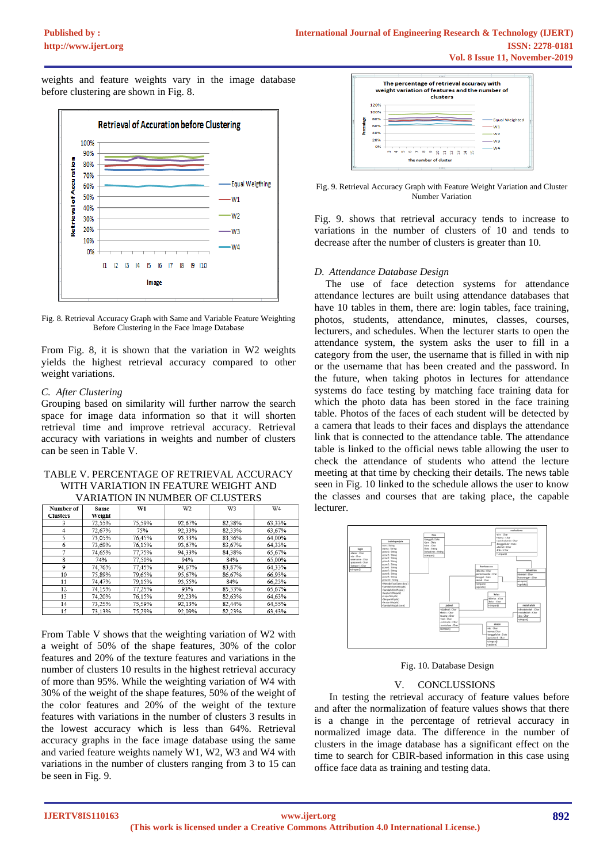weights and feature weights vary in the image database before clustering are shown in Fig. 8.



Fig. 8. Retrieval Accuracy Graph with Same and Variable Feature Weighting Before Clustering in the Face Image Database

From Fig. 8, it is shown that the variation in W2 weights yields the highest retrieval accuracy compared to other weight variations.

## *C. After Clustering*

Grouping based on similarity will further narrow the search space for image data information so that it will shorten retrieval time and improve retrieval accuracy. Retrieval accuracy with variations in weights and number of clusters can be seen in Table V.

#### TABLE V. PERCENTAGE OF RETRIEVAL ACCURACY WITH VARIATION IN FEATURE WEIGHT AND VARIATION IN NUMBER OF CLUSTERS

| Number of       | Same   | W1     | W <sub>2</sub> | W3     | W <sub>4</sub> |
|-----------------|--------|--------|----------------|--------|----------------|
| <b>Clusters</b> | Weight |        |                |        |                |
| 3               | 72,55% | 75,59% | 92,67%         | 82,38% | 63,33%         |
| $\overline{4}$  | 72,67% | 75%    | 92.33%         | 82.33% | 63.67%         |
| 5               | 73.05% | 76.45% | 93.33%         | 83.36% | 64.00%         |
| 6               | 73,69% | 76,15% | 93,67%         | 83,67% | 64,33%         |
| 7               | 74.65% | 77,75% | 94.33%         | 84.38% | 65.67%         |
| 8               | 74%    | 77.50% | 94%            | 84%    | 65.00%         |
| 9               | 74,76% | 77,45% | 94,67%         | 83,87% | 64,33%         |
| 10              | 75,89% | 79,65% | 95.67%         | 86.67% | 66.93%         |
| 11              | 74,47% | 79,15% | 93,55%         | 84%    | 66,23%         |
| 12              | 74.15% | 77.25% | 93%            | 85.33% | 65,67%         |
| 13              | 74.20% | 76.15% | 92.23%         | 82.63% | 64.63%         |
| 14              | 73.25% | 75,59% | 92,13%         | 82.44% | 64,55%         |
| 15              | 73 13% | 75 29% | 92.09%         | 82.23% | 63 43%         |

From Table V shows that the weighting variation of W2 with a weight of 50% of the shape features, 30% of the color features and 20% of the texture features and variations in the number of clusters 10 results in the highest retrieval accuracy of more than 95%. While the weighting variation of W4 with 30% of the weight of the shape features, 50% of the weight of the color features and 20% of the weight of the texture features with variations in the number of clusters 3 results in the lowest accuracy which is less than 64%. Retrieval accuracy graphs in the face image database using the same and varied feature weights namely W1, W2, W3 and W4 with variations in the number of clusters ranging from 3 to 15 can be seen in Fig. 9.



Fig. 9. Retrieval Accuracy Graph with Feature Weight Variation and Cluster Number Variation

Fig. 9. shows that retrieval accuracy tends to increase to variations in the number of clusters of 10 and tends to decrease after the number of clusters is greater than 10.

## *D. Attendance Database Design*

The use of face detection systems for attendance attendance lectures are built using attendance databases that have 10 tables in them, there are: login tables, face training, photos, students, attendance, minutes, classes, courses, lecturers, and schedules. When the lecturer starts to open the attendance system, the system asks the user to fill in a category from the user, the username that is filled in with nip or the username that has been created and the password. In the future, when taking photos in lectures for attendance systems do face testing by matching face training data for which the photo data has been stored in the face training table. Photos of the faces of each student will be detected by a camera that leads to their faces and displays the attendance link that is connected to the attendance table. The attendance table is linked to the official news table allowing the user to check the attendance of students who attend the lecture meeting at that time by checking their details. The news table seen in Fig. 10 linked to the schedule allows the user to know the classes and courses that are taking place, the capable lecturer.



Fig. 10. Database Design

## V. CONCLUSSIONS

In testing the retrieval accuracy of feature values before and after the normalization of feature values shows that there is a change in the percentage of retrieval accuracy in normalized image data. The difference in the number of clusters in the image database has a significant effect on the time to search for CBIR-based information in this case using office face data as training and testing data.